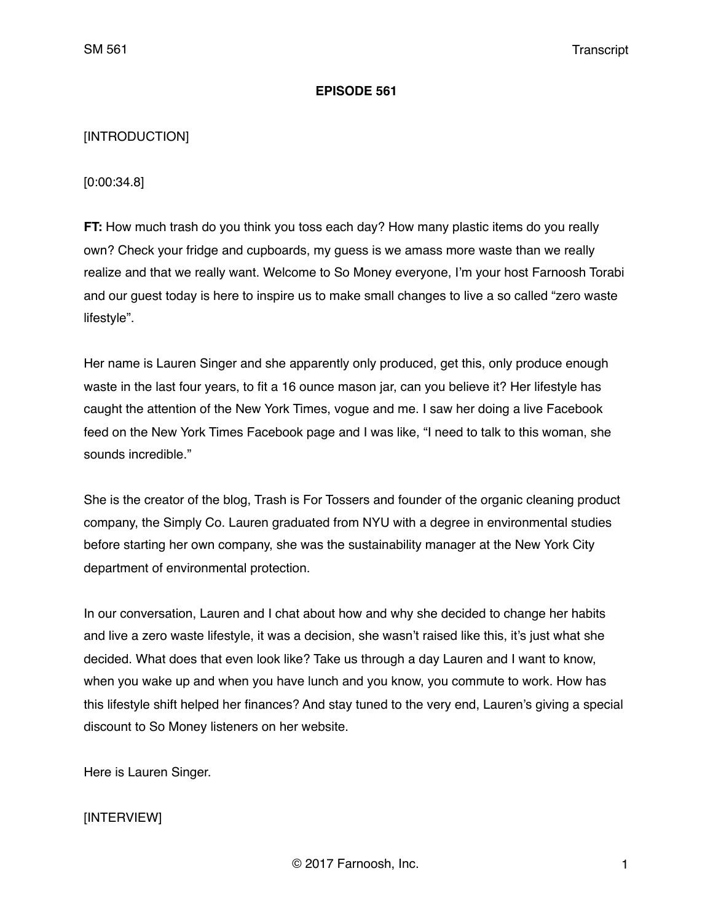#### **EPISODE 561**

### [INTRODUCTION]

[0:00:34.8]

**FT:** How much trash do you think you toss each day? How many plastic items do you really own? Check your fridge and cupboards, my guess is we amass more waste than we really realize and that we really want. Welcome to So Money everyone, I'm your host Farnoosh Torabi and our guest today is here to inspire us to make small changes to live a so called "zero waste lifestyle".

Her name is Lauren Singer and she apparently only produced, get this, only produce enough waste in the last four years, to fit a 16 ounce mason jar, can you believe it? Her lifestyle has caught the attention of the New York Times, vogue and me. I saw her doing a live Facebook feed on the New York Times Facebook page and I was like, "I need to talk to this woman, she sounds incredible."

She is the creator of the blog, Trash is For Tossers and founder of the organic cleaning product company, the Simply Co. Lauren graduated from NYU with a degree in environmental studies before starting her own company, she was the sustainability manager at the New York City department of environmental protection.

In our conversation, Lauren and I chat about how and why she decided to change her habits and live a zero waste lifestyle, it was a decision, she wasn't raised like this, it's just what she decided. What does that even look like? Take us through a day Lauren and I want to know, when you wake up and when you have lunch and you know, you commute to work. How has this lifestyle shift helped her finances? And stay tuned to the very end, Lauren's giving a special discount to So Money listeners on her website.

Here is Lauren Singer.

### [INTERVIEW]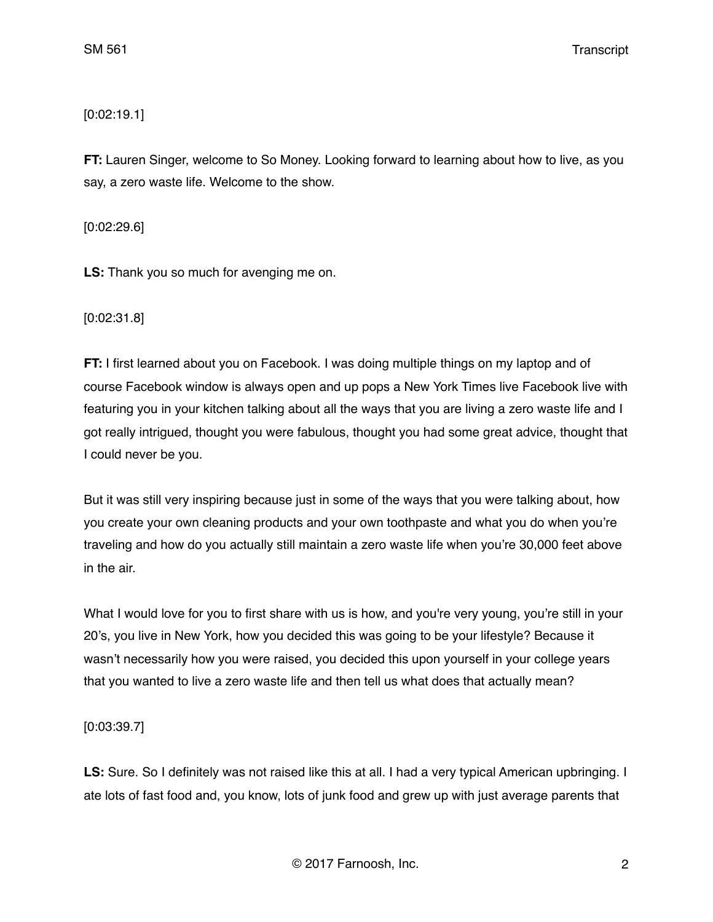## [0:02:19.1]

**FT:** Lauren Singer, welcome to So Money. Looking forward to learning about how to live, as you say, a zero waste life. Welcome to the show.

[0:02:29.6]

**LS:** Thank you so much for avenging me on.

[0:02:31.8]

**FT:** I first learned about you on Facebook. I was doing multiple things on my laptop and of course Facebook window is always open and up pops a New York Times live Facebook live with featuring you in your kitchen talking about all the ways that you are living a zero waste life and I got really intrigued, thought you were fabulous, thought you had some great advice, thought that I could never be you.

But it was still very inspiring because just in some of the ways that you were talking about, how you create your own cleaning products and your own toothpaste and what you do when you're traveling and how do you actually still maintain a zero waste life when you're 30,000 feet above in the air.

What I would love for you to first share with us is how, and you're very young, you're still in your 20's, you live in New York, how you decided this was going to be your lifestyle? Because it wasn't necessarily how you were raised, you decided this upon yourself in your college years that you wanted to live a zero waste life and then tell us what does that actually mean?

[0:03:39.7]

**LS:** Sure. So I definitely was not raised like this at all. I had a very typical American upbringing. I ate lots of fast food and, you know, lots of junk food and grew up with just average parents that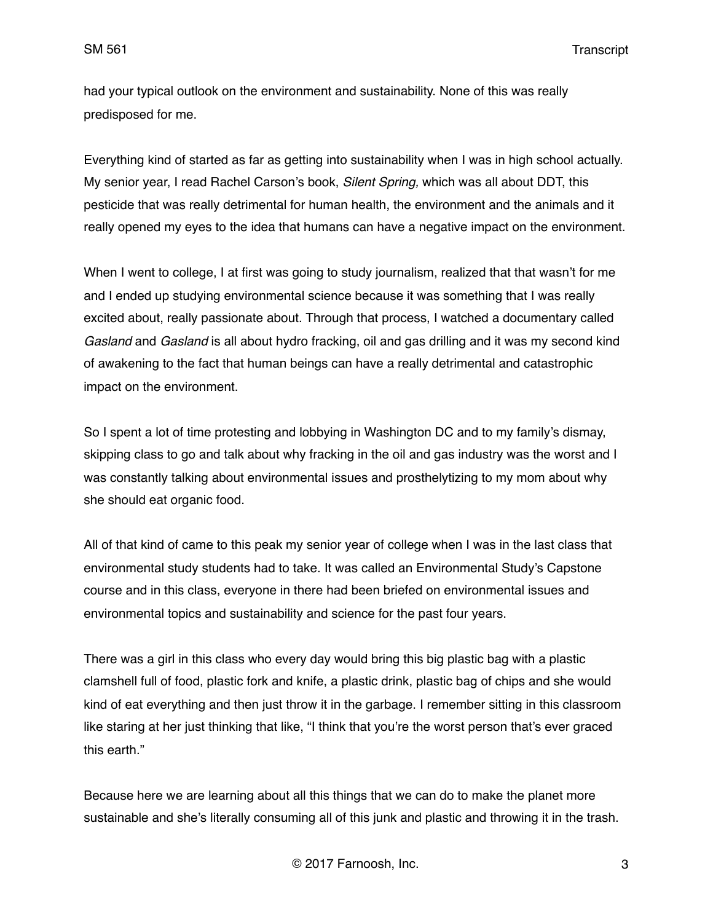SM 561 Transcript

had your typical outlook on the environment and sustainability. None of this was really predisposed for me.

Everything kind of started as far as getting into sustainability when I was in high school actually. My senior year, I read Rachel Carson's book, *Silent Spring,* which was all about DDT, this pesticide that was really detrimental for human health, the environment and the animals and it really opened my eyes to the idea that humans can have a negative impact on the environment.

When I went to college, I at first was going to study journalism, realized that that wasn't for me and I ended up studying environmental science because it was something that I was really excited about, really passionate about. Through that process, I watched a documentary called *Gasland* and *Gasland* is all about hydro fracking, oil and gas drilling and it was my second kind of awakening to the fact that human beings can have a really detrimental and catastrophic impact on the environment.

So I spent a lot of time protesting and lobbying in Washington DC and to my family's dismay, skipping class to go and talk about why fracking in the oil and gas industry was the worst and I was constantly talking about environmental issues and prosthelytizing to my mom about why she should eat organic food.

All of that kind of came to this peak my senior year of college when I was in the last class that environmental study students had to take. It was called an Environmental Study's Capstone course and in this class, everyone in there had been briefed on environmental issues and environmental topics and sustainability and science for the past four years.

There was a girl in this class who every day would bring this big plastic bag with a plastic clamshell full of food, plastic fork and knife, a plastic drink, plastic bag of chips and she would kind of eat everything and then just throw it in the garbage. I remember sitting in this classroom like staring at her just thinking that like, "I think that you're the worst person that's ever graced this earth."

Because here we are learning about all this things that we can do to make the planet more sustainable and she's literally consuming all of this junk and plastic and throwing it in the trash.

© 2017 Farnoosh, Inc. 3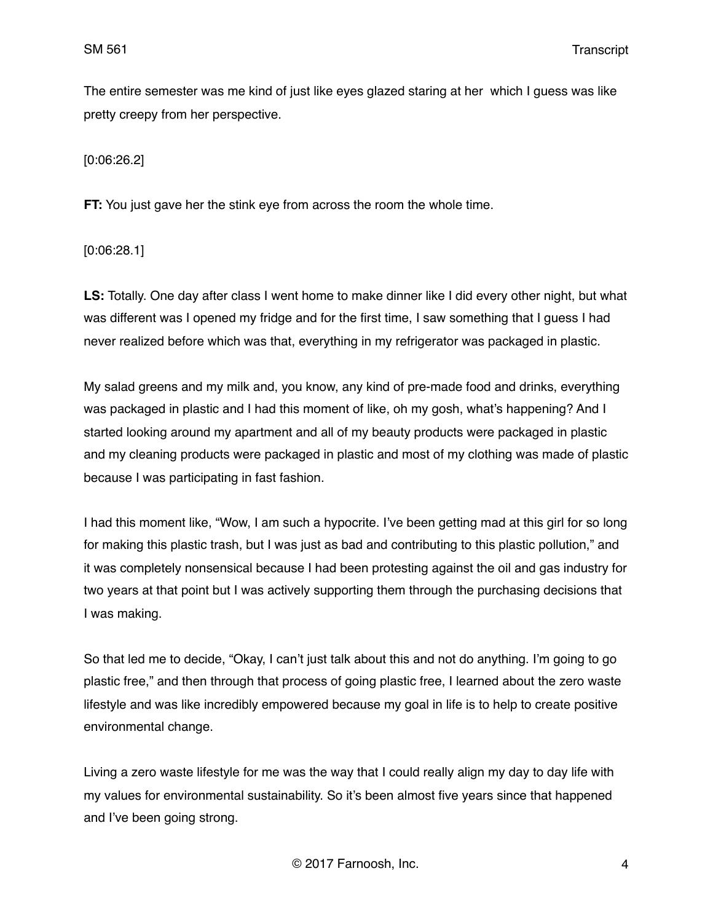The entire semester was me kind of just like eyes glazed staring at her which I guess was like pretty creepy from her perspective.

[0:06:26.2]

**FT:** You just gave her the stink eye from across the room the whole time.

[0:06:28.1]

**LS:** Totally. One day after class I went home to make dinner like I did every other night, but what was different was I opened my fridge and for the first time, I saw something that I guess I had never realized before which was that, everything in my refrigerator was packaged in plastic.

My salad greens and my milk and, you know, any kind of pre-made food and drinks, everything was packaged in plastic and I had this moment of like, oh my gosh, what's happening? And I started looking around my apartment and all of my beauty products were packaged in plastic and my cleaning products were packaged in plastic and most of my clothing was made of plastic because I was participating in fast fashion.

I had this moment like, "Wow, I am such a hypocrite. I've been getting mad at this girl for so long for making this plastic trash, but I was just as bad and contributing to this plastic pollution," and it was completely nonsensical because I had been protesting against the oil and gas industry for two years at that point but I was actively supporting them through the purchasing decisions that I was making.

So that led me to decide, "Okay, I can't just talk about this and not do anything. I'm going to go plastic free," and then through that process of going plastic free, I learned about the zero waste lifestyle and was like incredibly empowered because my goal in life is to help to create positive environmental change.

Living a zero waste lifestyle for me was the way that I could really align my day to day life with my values for environmental sustainability. So it's been almost five years since that happened and I've been going strong.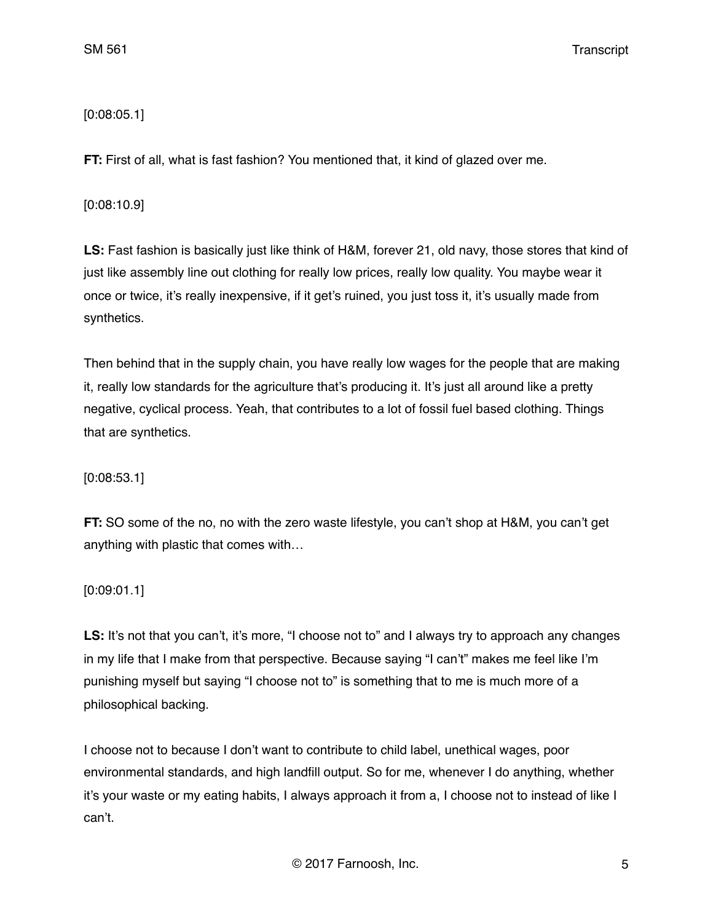[0:08:05.1]

**FT:** First of all, what is fast fashion? You mentioned that, it kind of glazed over me.

[0:08:10.9]

**LS:** Fast fashion is basically just like think of H&M, forever 21, old navy, those stores that kind of just like assembly line out clothing for really low prices, really low quality. You maybe wear it once or twice, it's really inexpensive, if it get's ruined, you just toss it, it's usually made from synthetics.

Then behind that in the supply chain, you have really low wages for the people that are making it, really low standards for the agriculture that's producing it. It's just all around like a pretty negative, cyclical process. Yeah, that contributes to a lot of fossil fuel based clothing. Things that are synthetics.

[0:08:53.1]

**FT:** SO some of the no, no with the zero waste lifestyle, you can't shop at H&M, you can't get anything with plastic that comes with…

[0:09:01.1]

LS: It's not that you can't, it's more, "I choose not to" and I always try to approach any changes in my life that I make from that perspective. Because saying "I can't" makes me feel like I'm punishing myself but saying "I choose not to" is something that to me is much more of a philosophical backing.

I choose not to because I don't want to contribute to child label, unethical wages, poor environmental standards, and high landfill output. So for me, whenever I do anything, whether it's your waste or my eating habits, I always approach it from a, I choose not to instead of like I can't.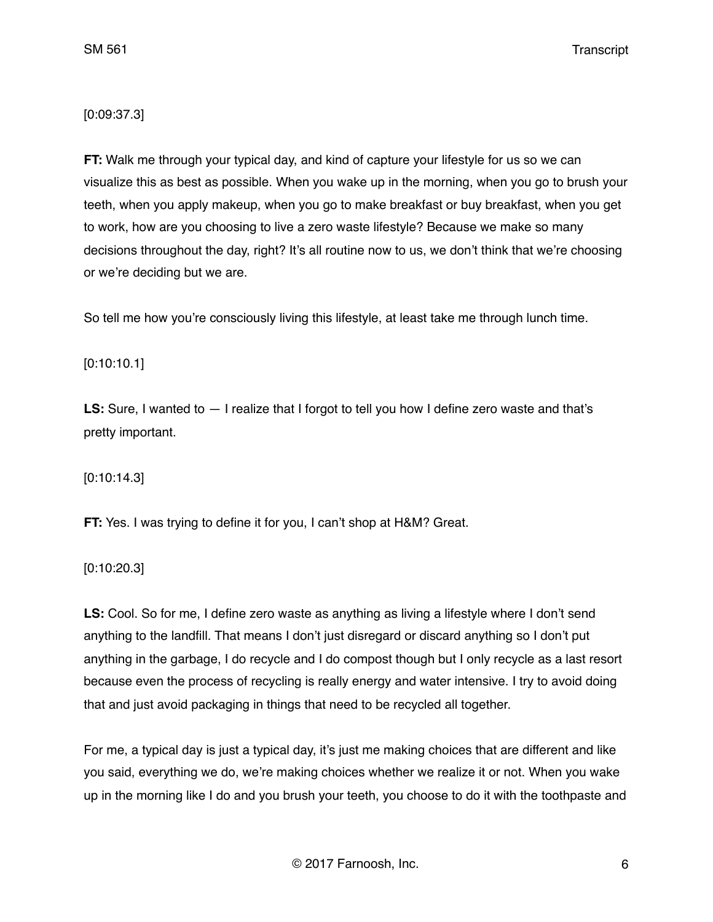# [0:09:37.3]

**FT:** Walk me through your typical day, and kind of capture your lifestyle for us so we can visualize this as best as possible. When you wake up in the morning, when you go to brush your teeth, when you apply makeup, when you go to make breakfast or buy breakfast, when you get to work, how are you choosing to live a zero waste lifestyle? Because we make so many decisions throughout the day, right? It's all routine now to us, we don't think that we're choosing or we're deciding but we are.

So tell me how you're consciously living this lifestyle, at least take me through lunch time.

# [0:10:10.1]

**LS:** Sure, I wanted to — I realize that I forgot to tell you how I define zero waste and that's pretty important.

[0:10:14.3]

**FT:** Yes. I was trying to define it for you, I can't shop at H&M? Great.

[0:10:20.3]

**LS:** Cool. So for me, I define zero waste as anything as living a lifestyle where I don't send anything to the landfill. That means I don't just disregard or discard anything so I don't put anything in the garbage, I do recycle and I do compost though but I only recycle as a last resort because even the process of recycling is really energy and water intensive. I try to avoid doing that and just avoid packaging in things that need to be recycled all together.

For me, a typical day is just a typical day, it's just me making choices that are different and like you said, everything we do, we're making choices whether we realize it or not. When you wake up in the morning like I do and you brush your teeth, you choose to do it with the toothpaste and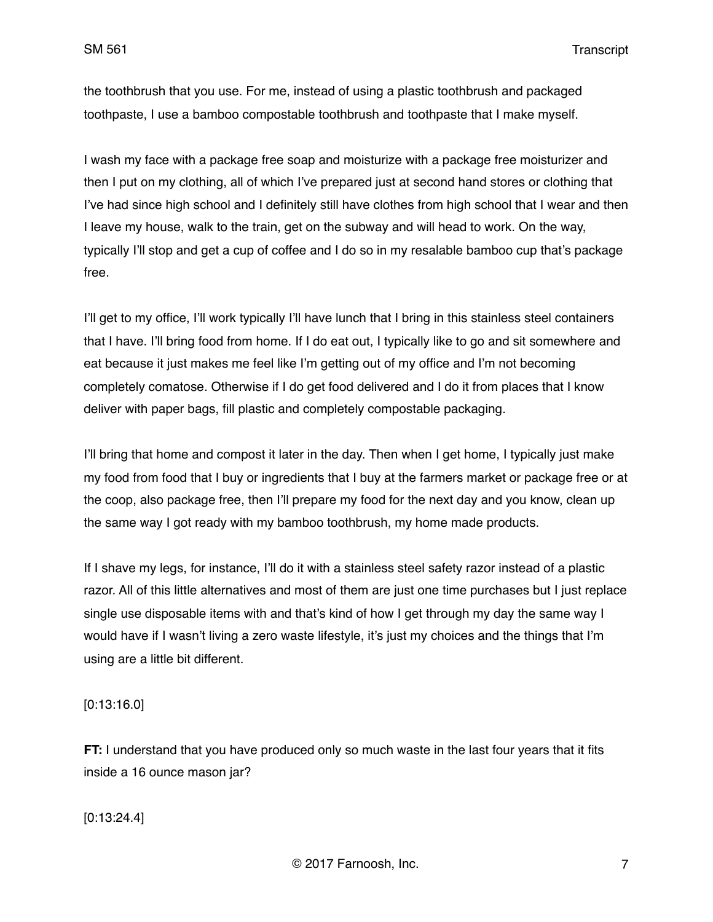the toothbrush that you use. For me, instead of using a plastic toothbrush and packaged toothpaste, I use a bamboo compostable toothbrush and toothpaste that I make myself.

I wash my face with a package free soap and moisturize with a package free moisturizer and then I put on my clothing, all of which I've prepared just at second hand stores or clothing that I've had since high school and I definitely still have clothes from high school that I wear and then I leave my house, walk to the train, get on the subway and will head to work. On the way, typically I'll stop and get a cup of coffee and I do so in my resalable bamboo cup that's package free.

I'll get to my office, I'll work typically I'll have lunch that I bring in this stainless steel containers that I have. I'll bring food from home. If I do eat out, I typically like to go and sit somewhere and eat because it just makes me feel like I'm getting out of my office and I'm not becoming completely comatose. Otherwise if I do get food delivered and I do it from places that I know deliver with paper bags, fill plastic and completely compostable packaging.

I'll bring that home and compost it later in the day. Then when I get home, I typically just make my food from food that I buy or ingredients that I buy at the farmers market or package free or at the coop, also package free, then I'll prepare my food for the next day and you know, clean up the same way I got ready with my bamboo toothbrush, my home made products.

If I shave my legs, for instance, I'll do it with a stainless steel safety razor instead of a plastic razor. All of this little alternatives and most of them are just one time purchases but I just replace single use disposable items with and that's kind of how I get through my day the same way I would have if I wasn't living a zero waste lifestyle, it's just my choices and the things that I'm using are a little bit different.

[0:13:16.0]

**FT:** I understand that you have produced only so much waste in the last four years that it fits inside a 16 ounce mason jar?

[0:13:24.4]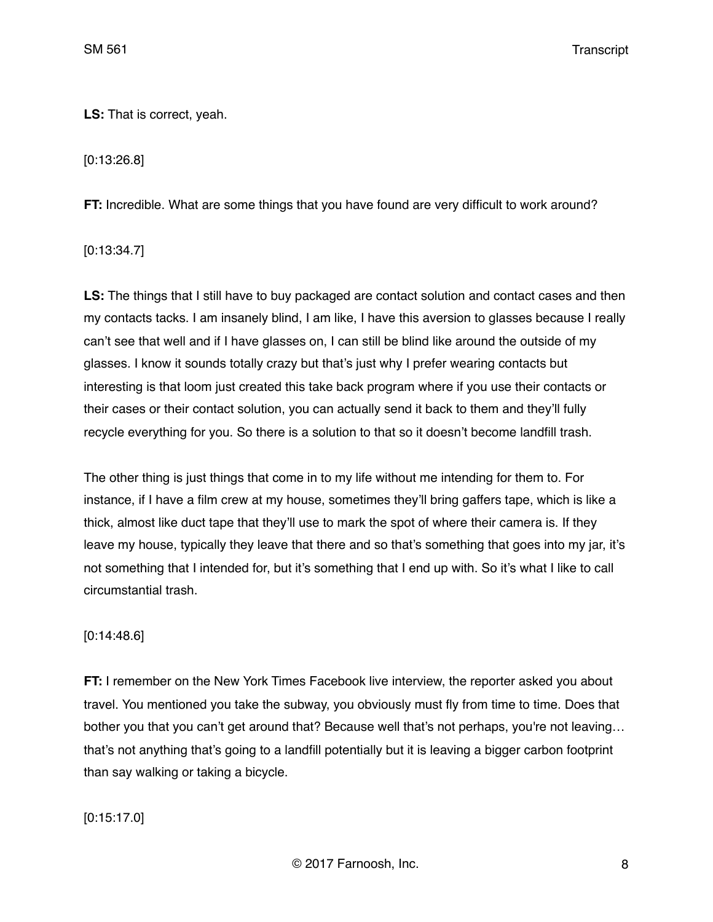**LS:** That is correct, yeah.

[0:13:26.8]

**FT:** Incredible. What are some things that you have found are very difficult to work around?

[0:13:34.7]

**LS:** The things that I still have to buy packaged are contact solution and contact cases and then my contacts tacks. I am insanely blind, I am like, I have this aversion to glasses because I really can't see that well and if I have glasses on, I can still be blind like around the outside of my glasses. I know it sounds totally crazy but that's just why I prefer wearing contacts but interesting is that loom just created this take back program where if you use their contacts or their cases or their contact solution, you can actually send it back to them and they'll fully recycle everything for you. So there is a solution to that so it doesn't become landfill trash.

The other thing is just things that come in to my life without me intending for them to. For instance, if I have a film crew at my house, sometimes they'll bring gaffers tape, which is like a thick, almost like duct tape that they'll use to mark the spot of where their camera is. If they leave my house, typically they leave that there and so that's something that goes into my jar, it's not something that I intended for, but it's something that I end up with. So it's what I like to call circumstantial trash.

# [0:14:48.6]

**FT:** I remember on the New York Times Facebook live interview, the reporter asked you about travel. You mentioned you take the subway, you obviously must fly from time to time. Does that bother you that you can't get around that? Because well that's not perhaps, you're not leaving... that's not anything that's going to a landfill potentially but it is leaving a bigger carbon footprint than say walking or taking a bicycle.

[0:15:17.0]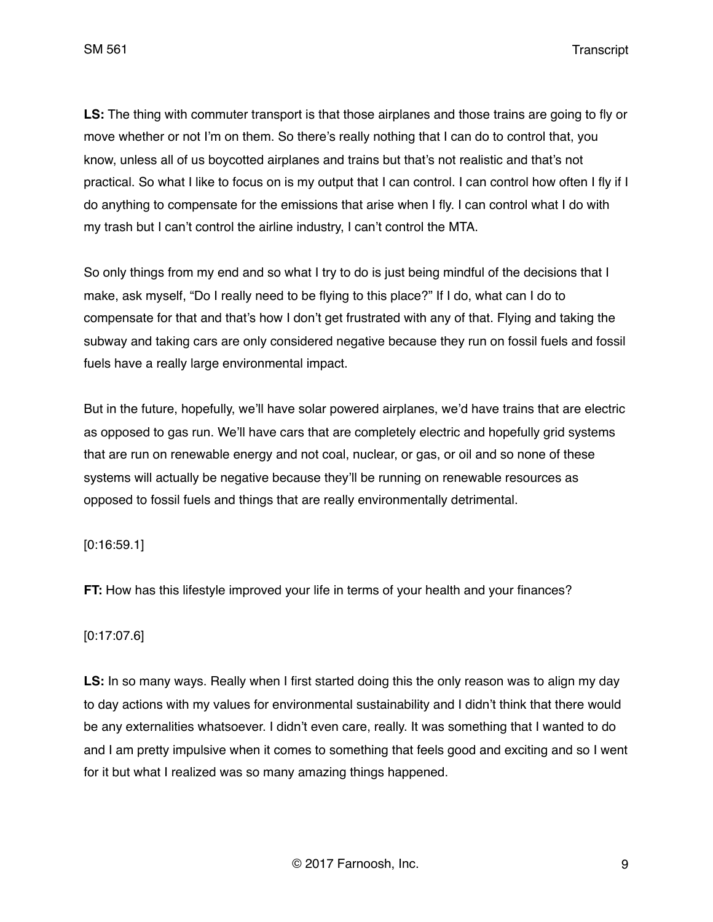SM 561 Transcript

**LS:** The thing with commuter transport is that those airplanes and those trains are going to fly or move whether or not I'm on them. So there's really nothing that I can do to control that, you know, unless all of us boycotted airplanes and trains but that's not realistic and that's not practical. So what I like to focus on is my output that I can control. I can control how often I fly if I do anything to compensate for the emissions that arise when I fly. I can control what I do with my trash but I can't control the airline industry, I can't control the MTA.

So only things from my end and so what I try to do is just being mindful of the decisions that I make, ask myself, "Do I really need to be flying to this place?" If I do, what can I do to compensate for that and that's how I don't get frustrated with any of that. Flying and taking the subway and taking cars are only considered negative because they run on fossil fuels and fossil fuels have a really large environmental impact.

But in the future, hopefully, we'll have solar powered airplanes, we'd have trains that are electric as opposed to gas run. We'll have cars that are completely electric and hopefully grid systems that are run on renewable energy and not coal, nuclear, or gas, or oil and so none of these systems will actually be negative because they'll be running on renewable resources as opposed to fossil fuels and things that are really environmentally detrimental.

[0:16:59.1]

**FT:** How has this lifestyle improved your life in terms of your health and your finances?

# [0:17:07.6]

LS: In so many ways. Really when I first started doing this the only reason was to align my day to day actions with my values for environmental sustainability and I didn't think that there would be any externalities whatsoever. I didn't even care, really. It was something that I wanted to do and I am pretty impulsive when it comes to something that feels good and exciting and so I went for it but what I realized was so many amazing things happened.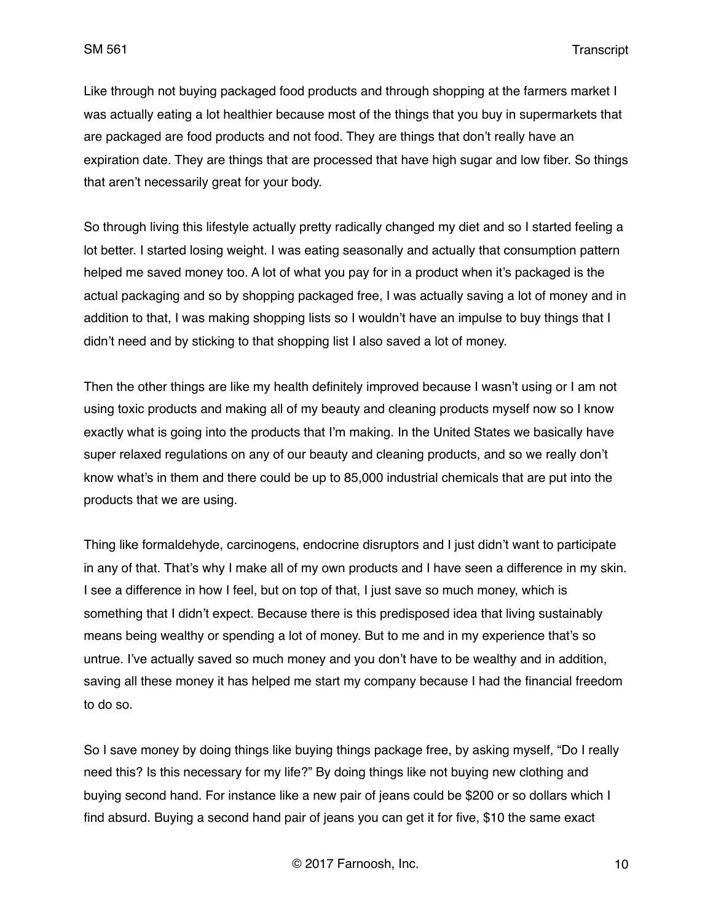Like through not buying packaged food products and through shopping at the farmers market I was actually eating a lot healthier because most of the things that you buy in supermarkets that are packaged are food products and not food. They are things that don't really have an expiration date. They are things that are processed that have high sugar and low fiber. So things that aren't necessarily great for your body.

So through living this lifestyle actually pretty radically changed my diet and so I started feeling a lot better. I started losing weight. I was eating seasonally and actually that consumption pattern helped me saved money too. A lot of what you pay for in a product when it's packaged is the actual packaging and so by shopping packaged free, I was actually saving a lot of money and in addition to that, I was making shopping lists so I wouldn't have an impulse to buy things that I didn't need and by sticking to that shopping list I also saved a lot of money.

Then the other things are like my health definitely improved because I wasn't using or I am not using toxic products and making all of my beauty and cleaning products myself now so I know exactly what is going into the products that I'm making. In the United States we basically have super relaxed regulations on any of our beauty and cleaning products, and so we really don't know what's in them and there could be up to 85,000 industrial chemicals that are put into the products that we are using.

Thing like formaldehyde, carcinogens, endocrine disruptors and I just didn't want to participate in any of that. That's why I make all of my own products and I have seen a difference in my skin. I see a difference in how I feel, but on top of that, I just save so much money, which is something that I didn't expect. Because there is this predisposed idea that living sustainably means being wealthy or spending a lot of money. But to me and in my experience that's so untrue. I've actually saved so much money and you don't have to be wealthy and in addition, saving all these money it has helped me start my company because I had the financial freedom to do so.

So I save money by doing things like buying things package free, by asking myself, "Do I really need this? Is this necessary for my life?" By doing things like not buying new clothing and buying second hand. For instance like a new pair of jeans could be \$200 or so dollars which I find absurd. Buying a second hand pair of jeans you can get it for five, \$10 the same exact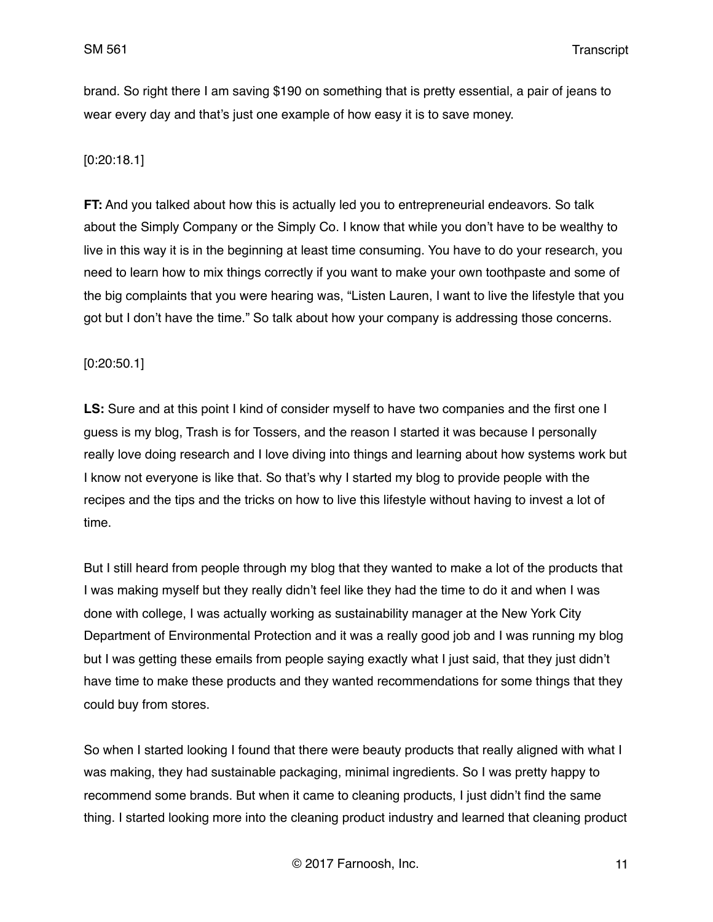brand. So right there I am saving \$190 on something that is pretty essential, a pair of jeans to wear every day and that's just one example of how easy it is to save money.

## [0:20:18.1]

**FT:** And you talked about how this is actually led you to entrepreneurial endeavors. So talk about the Simply Company or the Simply Co. I know that while you don't have to be wealthy to live in this way it is in the beginning at least time consuming. You have to do your research, you need to learn how to mix things correctly if you want to make your own toothpaste and some of the big complaints that you were hearing was, "Listen Lauren, I want to live the lifestyle that you got but I don't have the time." So talk about how your company is addressing those concerns.

### [0:20:50.1]

**LS:** Sure and at this point I kind of consider myself to have two companies and the first one I guess is my blog, Trash is for Tossers, and the reason I started it was because I personally really love doing research and I love diving into things and learning about how systems work but I know not everyone is like that. So that's why I started my blog to provide people with the recipes and the tips and the tricks on how to live this lifestyle without having to invest a lot of time.

But I still heard from people through my blog that they wanted to make a lot of the products that I was making myself but they really didn't feel like they had the time to do it and when I was done with college, I was actually working as sustainability manager at the New York City Department of Environmental Protection and it was a really good job and I was running my blog but I was getting these emails from people saying exactly what I just said, that they just didn't have time to make these products and they wanted recommendations for some things that they could buy from stores.

So when I started looking I found that there were beauty products that really aligned with what I was making, they had sustainable packaging, minimal ingredients. So I was pretty happy to recommend some brands. But when it came to cleaning products, I just didn't find the same thing. I started looking more into the cleaning product industry and learned that cleaning product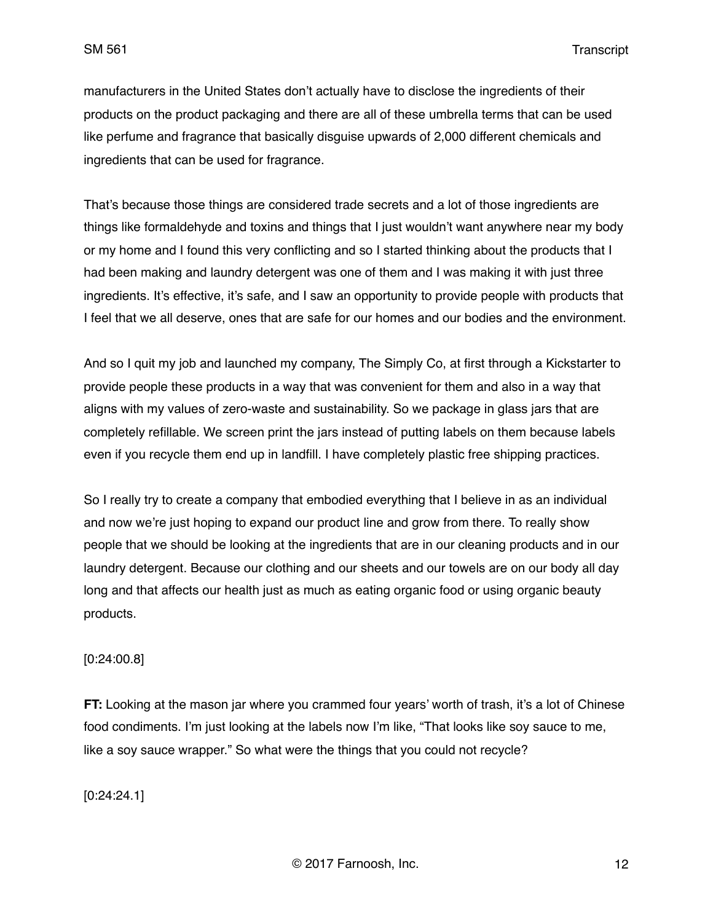SM 561 Transcript

manufacturers in the United States don't actually have to disclose the ingredients of their products on the product packaging and there are all of these umbrella terms that can be used like perfume and fragrance that basically disguise upwards of 2,000 different chemicals and ingredients that can be used for fragrance.

That's because those things are considered trade secrets and a lot of those ingredients are things like formaldehyde and toxins and things that I just wouldn't want anywhere near my body or my home and I found this very conflicting and so I started thinking about the products that I had been making and laundry detergent was one of them and I was making it with just three ingredients. It's effective, it's safe, and I saw an opportunity to provide people with products that I feel that we all deserve, ones that are safe for our homes and our bodies and the environment.

And so I quit my job and launched my company, The Simply Co, at first through a Kickstarter to provide people these products in a way that was convenient for them and also in a way that aligns with my values of zero-waste and sustainability. So we package in glass jars that are completely refillable. We screen print the jars instead of putting labels on them because labels even if you recycle them end up in landfill. I have completely plastic free shipping practices.

So I really try to create a company that embodied everything that I believe in as an individual and now we're just hoping to expand our product line and grow from there. To really show people that we should be looking at the ingredients that are in our cleaning products and in our laundry detergent. Because our clothing and our sheets and our towels are on our body all day long and that affects our health just as much as eating organic food or using organic beauty products.

### [0:24:00.8]

**FT:** Looking at the mason jar where you crammed four years' worth of trash, it's a lot of Chinese food condiments. I'm just looking at the labels now I'm like, "That looks like soy sauce to me, like a soy sauce wrapper." So what were the things that you could not recycle?

[0:24:24.1]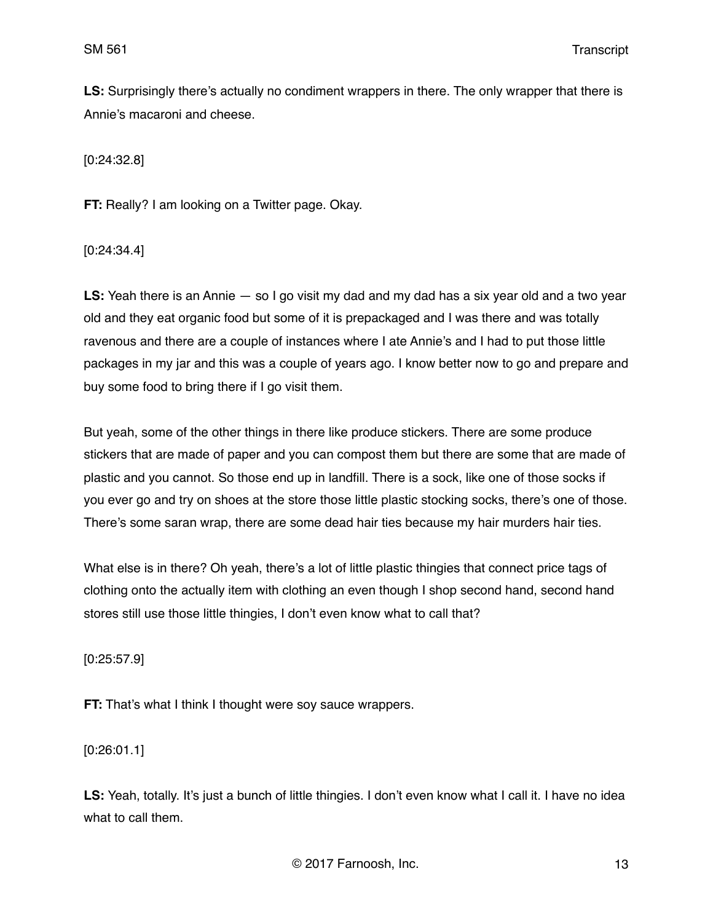**LS:** Surprisingly there's actually no condiment wrappers in there. The only wrapper that there is Annie's macaroni and cheese.

[0:24:32.8]

**FT:** Really? I am looking on a Twitter page. Okay.

[0:24:34.4]

**LS:** Yeah there is an Annie — so I go visit my dad and my dad has a six year old and a two year old and they eat organic food but some of it is prepackaged and I was there and was totally ravenous and there are a couple of instances where I ate Annie's and I had to put those little packages in my jar and this was a couple of years ago. I know better now to go and prepare and buy some food to bring there if I go visit them.

But yeah, some of the other things in there like produce stickers. There are some produce stickers that are made of paper and you can compost them but there are some that are made of plastic and you cannot. So those end up in landfill. There is a sock, like one of those socks if you ever go and try on shoes at the store those little plastic stocking socks, there's one of those. There's some saran wrap, there are some dead hair ties because my hair murders hair ties.

What else is in there? Oh yeah, there's a lot of little plastic thingies that connect price tags of clothing onto the actually item with clothing an even though I shop second hand, second hand stores still use those little thingies, I don't even know what to call that?

[0:25:57.9]

**FT:** That's what I think I thought were soy sauce wrappers.

[0:26:01.1]

**LS:** Yeah, totally. It's just a bunch of little thingies. I don't even know what I call it. I have no idea what to call them.

© 2017 Farnoosh, Inc. 13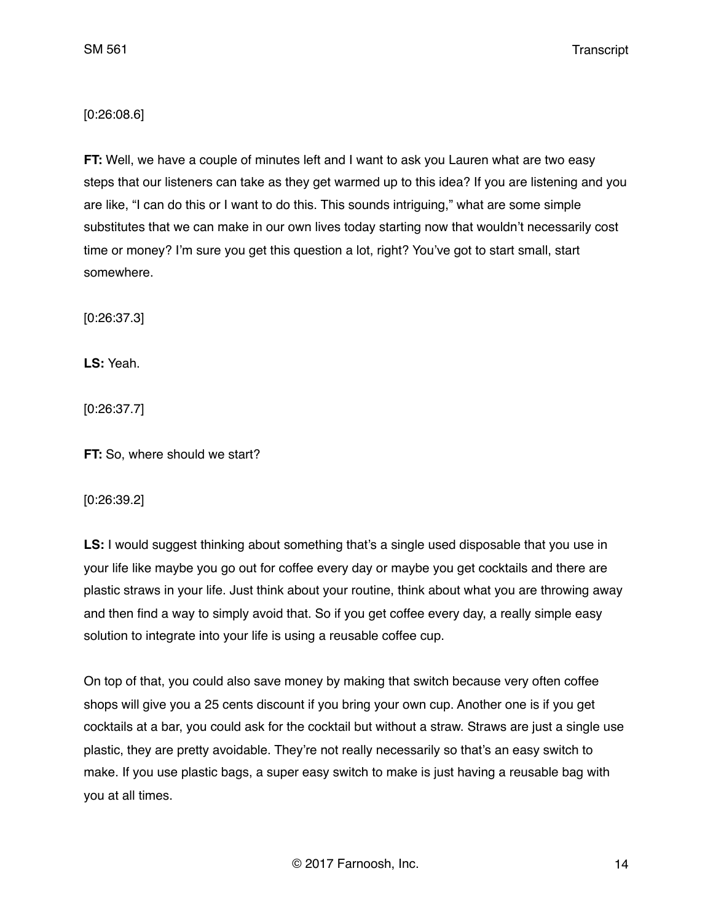## [0:26:08.6]

**FT:** Well, we have a couple of minutes left and I want to ask you Lauren what are two easy steps that our listeners can take as they get warmed up to this idea? If you are listening and you are like, "I can do this or I want to do this. This sounds intriguing," what are some simple substitutes that we can make in our own lives today starting now that wouldn't necessarily cost time or money? I'm sure you get this question a lot, right? You've got to start small, start somewhere.

[0:26:37.3]

**LS:** Yeah.

[0:26:37.7]

**FT:** So, where should we start?

[0:26:39.2]

**LS:** I would suggest thinking about something that's a single used disposable that you use in your life like maybe you go out for coffee every day or maybe you get cocktails and there are plastic straws in your life. Just think about your routine, think about what you are throwing away and then find a way to simply avoid that. So if you get coffee every day, a really simple easy solution to integrate into your life is using a reusable coffee cup.

On top of that, you could also save money by making that switch because very often coffee shops will give you a 25 cents discount if you bring your own cup. Another one is if you get cocktails at a bar, you could ask for the cocktail but without a straw. Straws are just a single use plastic, they are pretty avoidable. They're not really necessarily so that's an easy switch to make. If you use plastic bags, a super easy switch to make is just having a reusable bag with you at all times.